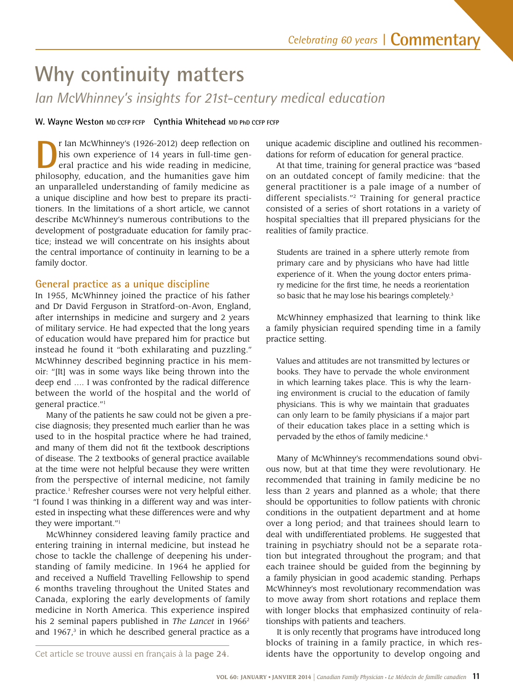# **Why continuity matters**

*Ian McWhinney's insights for 21st-century medical education* 

W. Wayne Weston MD CCFP FCFP Cynthia Whitehead MD PhD CCFP FCFP

 eral practice and his wide reading in medicine, philosophy, education, and the humanities gave him an unparalleled understanding of family medicine as r Ian McWhinney's (1926-2012) deep reflection on his own experience of 14 years in full-time gena unique discipline and how best to prepare its practitioners. In the limitations of a short article, we cannot describe McWhinney's numerous contributions to the development of postgraduate education for family practice; instead we will concentrate on his insights about the central importance of continuity in learning to be a family doctor.

## **General practice as a unique discipline**

 McWhinney described beginning practice in his mem- between the world of the hospital and the world of In 1955, McWhinney joined the practice of his father and Dr David Ferguson in Stratford-on-Avon, England, after internships in medicine and surgery and 2 years of military service. He had expected that the long years of education would have prepared him for practice but instead he found it "both exhilarating and puzzling." oir: "[It] was in some ways like being thrown into the deep end …. I was confronted by the radical difference general practice."1

 used to in the hospital practice where he had trained, Many of the patients he saw could not be given a precise diagnosis; they presented much earlier than he was and many of them did not ft the textbook descriptions of disease. The 2 textbooks of general practice available at the time were not helpful because they were written from the perspective of internal medicine, not family practice.1 Refresher courses were not very helpful either. "I found I was thinking in a different way and was interested in inspecting what these differences were and why they were important."1

McWhinney considered leaving family practice and entering training in internal medicine, but instead he chose to tackle the challenge of deepening his understanding of family medicine. In 1964 he applied for and received a Nuffeld Travelling Fellowship to spend 6 months traveling throughout the United States and Canada, exploring the early developments of family medicine in North America. This experience inspired his 2 seminal papers published in *The Lancet* in 1966<sup>2</sup> and  $1967$ ,<sup>3</sup> in which he described general practice as a

unique academic discipline and outlined his recommendations for reform of education for general practice.

At that time, training for general practice was "based on an outdated concept of family medicine: that the general practitioner is a pale image of a number of different specialists."2 Training for general practice consisted of a series of short rotations in a variety of hospital specialties that ill prepared physicians for the realities of family practice.

 Students are trained in a sphere utterly remote from primary care and by physicians who have had little experience of it. When the young doctor enters primary medicine for the frst time, he needs a reorientation so basic that he may lose his bearings completely.<sup>3</sup>

McWhinney emphasized that learning to think like a family physician required spending time in a family practice setting.

 of their education takes place in a setting which is Values and attitudes are not transmitted by lectures or books. They have to pervade the whole environment in which learning takes place. This is why the learning environment is crucial to the education of family physicians. This is why we maintain that graduates can only learn to be family physicians if a major part pervaded by the ethos of family medicine.<sup>4</sup>

Many of McWhinney's recommendations sound obvious now, but at that time they were revolutionary. He recommended that training in family medicine be no less than 2 years and planned as a whole; that there should be opportunities to follow patients with chronic conditions in the outpatient department and at home over a long period; and that trainees should learn to deal with undifferentiated problems. He suggested that training in psychiatry should not be a separate rotation but integrated throughout the program; and that each trainee should be guided from the beginning by a family physician in good academic standing. Perhaps McWhinney's most revolutionary recommendation was to move away from short rotations and replace them with longer blocks that emphasized continuity of relationships with patients and teachers.

 idents have the opportunity to develop ongoing and It is only recently that programs have introduced long blocks of training in a family practice, in which res-

Cet article se trouve aussi en français à la page 24.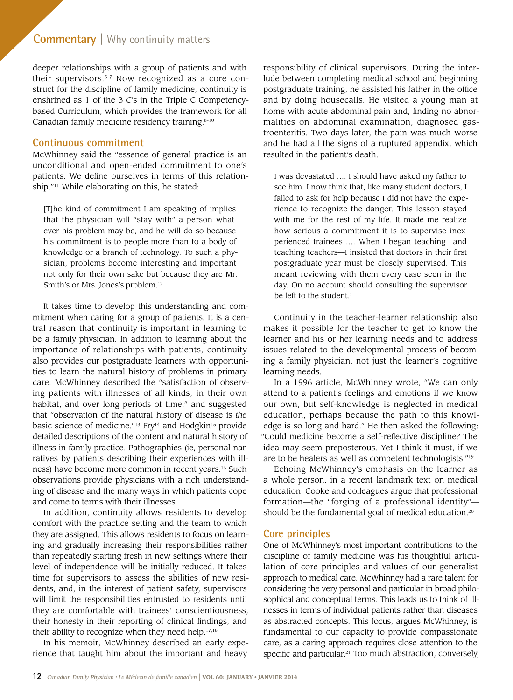deeper relationships with a group of patients and with their supervisors.<sup>5-7</sup> Now recognized as a core construct for the discipline of family medicine, continuity is enshrined as 1 of the 3 *C*'s in the Triple C Competencybased Curriculum, which provides the framework for all Canadian family medicine residency training.8-10

### **Continuous commitment**

 unconditional and open-ended commitment to one's McWhinney said the "essence of general practice is an patients. We defne ourselves in terms of this relationship."11 While elaborating on this, he stated:

[T]he kind of commitment I am speaking of implies that the physician will "stay with" a person whatever his problem may be, and he will do so because his commitment is to people more than to a body of knowledge or a branch of technology. To such a physician, problems become interesting and important not only for their own sake but because they are Mr. Smith's or Mrs. Jones's [problem.12](https://problem.12) 

 be a family physician. In addition to learning about the It takes time to develop this understanding and commitment when caring for a group of patients. It is a central reason that continuity is important in learning to importance of relationships with patients, continuity also provides our postgraduate learners with opportunities to learn the natural history of problems in primary care. McWhinney described the "satisfaction of observing patients with illnesses of all kinds, in their own habitat, and over long periods of time," and suggested that "observation of the natural history of disease is *the*  basic science of medicine."<sup>13</sup> Fry<sup>14</sup> and Hodgkin<sup>15</sup> provide detailed descriptions of the content and natural history of illness in family practice. Pathographies (ie, personal narratives by patients describing their experiences with illness) have become more common in recent years.<sup>16</sup> Such observations provide physicians with a rich understanding of disease and the many ways in which patients cope and come to terms with their illnesses.

their ability to recognize when they need help.<sup>17,18</sup> In addition, continuity allows residents to develop comfort with the practice setting and the team to which they are assigned. This allows residents to focus on learning and gradually increasing their responsibilities rather than repeatedly starting fresh in new settings where their level of independence will be initially reduced. It takes time for supervisors to assess the abilities of new residents, and, in the interest of patient safety, supervisors will limit the responsibilities entrusted to residents until they are comfortable with trainees' conscientiousness, their honesty in their reporting of clinical fndings, and

 rience that taught him about the important and heavy In his memoir, McWhinney described an early experesponsibility of clinical supervisors. During the interlude between completing medical school and beginning postgraduate training, he assisted his father in the office and by doing housecalls. He visited a young man at home with acute abdominal pain and, finding no abnormalities on abdominal examination, diagnosed gastroenteritis. Two days later, the pain was much worse and he had all the signs of a ruptured appendix, which resulted in the patient's death.

 meant reviewing with them every case seen in the I was devastated …. I should have asked my father to see him. I now think that, like many student doctors, I failed to ask for help because I did not have the experience to recognize the danger. This lesson stayed with me for the rest of my life. It made me realize how serious a commitment it is to supervise inexperienced trainees .… When I began teaching—and teaching teachers—I insisted that doctors in their frst postgraduate year must be closely supervised. This day. On no account should consulting the supervisor be left to the student.<sup>1</sup>

Continuity in the teacher-learner relationship also makes it possible for the teacher to get to know the learner and his or her learning needs and to address issues related to the developmental process of becoming a family physician, not just the learner's cognitive learning needs.

In a 1996 article, McWhinney wrote, "We can only attend to a patient's feelings and emotions if we know our own, but self-knowledge is neglected in medical education, perhaps because the path to this knowledge is so long and hard." He then asked the following: "Could medicine become a self-refective discipline? The idea may seem preposterous. Yet I think it must, if we are to be healers as well as competent technologists."19

Echoing McWhinney's emphasis on the learner as a whole person, in a recent landmark text on medical education, Cooke and colleagues argue that professional formation—the "forging of a professional identity" should be the fundamental goal of medical education.<sup>20</sup>

## **Core principles**

One of McWhinney's most important contributions to the discipline of family medicine was his thoughtful articulation of core principles and values of our generalist approach to medical care. McWhinney had a rare talent for considering the very personal and particular in broad philosophical and conceptual terms. This leads us to think of illnesses in terms of individual patients rather than diseases as abstracted concepts. This focus, argues McWhinney, is fundamental to our capacity to provide compassionate care, as a caring approach requires close attention to the specific and particular.<sup>21</sup> Too much abstraction, conversely,